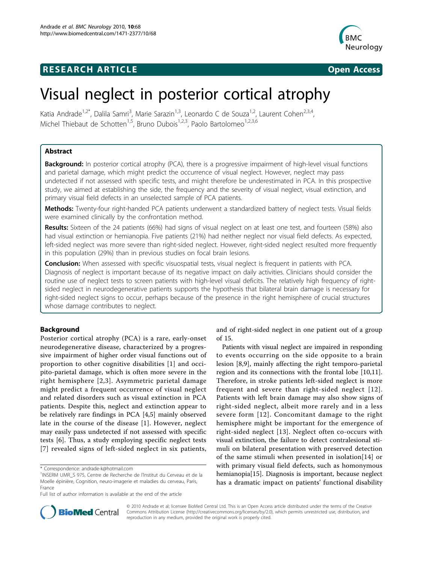# **RESEARCH ARTICLE Example 2014 CONSIDERING ACCESS**



# Visual neglect in posterior cortical atrophy

Katia Andrade<sup>1,2\*</sup>, Dalila Samri<sup>3</sup>, Marie Sarazin<sup>1,3</sup>, Leonardo C de Souza<sup>1,2</sup>, Laurent Cohen<sup>2,3,4</sup>, Michel Thiebaut de Schotten<sup>1,5</sup>, Bruno Dubois<sup>1,2,3</sup>, Paolo Bartolomeo<sup>1,2,3,6</sup>

# Abstract

Background: In posterior cortical atrophy (PCA), there is a progressive impairment of high-level visual functions and parietal damage, which might predict the occurrence of visual neglect. However, neglect may pass undetected if not assessed with specific tests, and might therefore be underestimated in PCA. In this prospective study, we aimed at establishing the side, the frequency and the severity of visual neglect, visual extinction, and primary visual field defects in an unselected sample of PCA patients.

Methods: Twenty-four right-handed PCA patients underwent a standardized battery of neglect tests. Visual fields were examined clinically by the confrontation method.

Results: Sixteen of the 24 patients (66%) had signs of visual neglect on at least one test, and fourteen (58%) also had visual extinction or hemianopia. Five patients (21%) had neither neglect nor visual field defects. As expected, left-sided neglect was more severe than right-sided neglect. However, right-sided neglect resulted more frequently in this population (29%) than in previous studies on focal brain lesions.

Conclusion: When assessed with specific visuospatial tests, visual neglect is frequent in patients with PCA. Diagnosis of neglect is important because of its negative impact on daily activities. Clinicians should consider the routine use of neglect tests to screen patients with high-level visual deficits. The relatively high frequency of rightsided neglect in neurodegenerative patients supports the hypothesis that bilateral brain damage is necessary for right-sided neglect signs to occur, perhaps because of the presence in the right hemisphere of crucial structures whose damage contributes to neglect.

# Background

Posterior cortical atrophy (PCA) is a rare, early-onset neurodegenerative disease, characterized by a progressive impairment of higher order visual functions out of proportion to other cognitive disabilities [[1\]](#page-5-0) and occipito-parietal damage, which is often more severe in the right hemisphere [[2](#page-5-0),[3](#page-5-0)]. Asymmetric parietal damage might predict a frequent occurrence of visual neglect and related disorders such as visual extinction in PCA patients. Despite this, neglect and extinction appear to be relatively rare findings in PCA [[4,5](#page-5-0)] mainly observed late in the course of the disease [[1](#page-5-0)]. However, neglect may easily pass undetected if not assessed with specific tests [\[6](#page-5-0)]. Thus, a study employing specific neglect tests [[7](#page-5-0)] revealed signs of left-sided neglect in six patients,

and of right-sided neglect in one patient out of a group of 15.

Patients with visual neglect are impaired in responding to events occurring on the side opposite to a brain lesion [[8,9](#page-5-0)], mainly affecting the right temporo-parietal region and its connections with the frontal lobe [\[10,11](#page-5-0)]. Therefore, in stroke patients left-sided neglect is more frequent and severe than right-sided neglect [[12\]](#page-5-0). Patients with left brain damage may also show signs of right-sided neglect, albeit more rarely and in a less severe form [[12](#page-5-0)]. Concomitant damage to the right hemisphere might be important for the emergence of right-sided neglect [[13](#page-5-0)]. Neglect often co-occurs with visual extinction, the failure to detect contralesional stimuli on bilateral presentation with preserved detection of the same stimuli when presented in isolation[[14\]](#page-5-0) or with primary visual field defects, such as homonymous hemianopia[[15\]](#page-5-0). Diagnosis is important, because neglect has a dramatic impact on patients' functional disability



© 2010 Andrade et al; licensee BioMed Central Ltd. This is an Open Access article distributed under the terms of the Creative Commons Attribution License [\(http://creativecommons.org/licenses/by/2.0](http://creativecommons.org/licenses/by/2.0)), which permits unrestricted use, distribution, and reproduction in any medium, provided the original work is properly cited.

<sup>\*</sup> Correspondence: [andrade-k@hotmail.com](mailto:andrade-k@hotmail.com)

<sup>&</sup>lt;sup>1</sup>INSERM UMR\_S 975, Centre de Recherche de l'Institut du Cerveau et de la Moelle épinière, Cognition, neuro-imagerie et maladies du cerveau, Paris, France

Full list of author information is available at the end of the article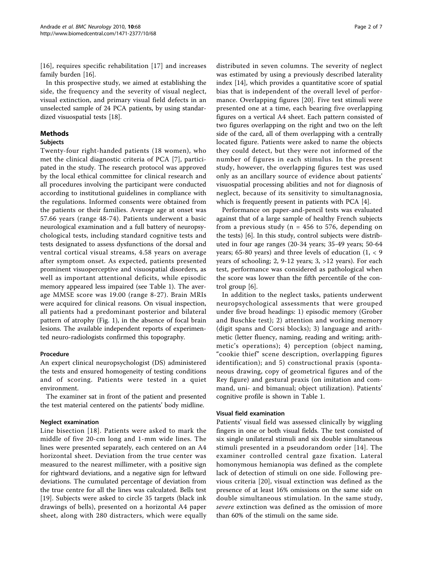[[16](#page-5-0)], requires specific rehabilitation [[17](#page-6-0)] and increases family burden [\[16\]](#page-5-0).

In this prospective study, we aimed at establishing the side, the frequency and the severity of visual neglect, visual extinction, and primary visual field defects in an unselected sample of 24 PCA patients, by using standardized visuospatial tests [\[18](#page-6-0)].

# Methods

# Subjects

Twenty-four right-handed patients (18 women), who met the clinical diagnostic criteria of PCA [[7\]](#page-5-0), participated in the study. The research protocol was approved by the local ethical committee for clinical research and all procedures involving the participant were conducted according to institutional guidelines in compliance with the regulations. Informed consents were obtained from the patients or their families. Average age at onset was 57.66 years (range 48-74). Patients underwent a basic neurological examination and a full battery of neuropsychological tests, including standard cognitive tests and tests designated to assess dysfunctions of the dorsal and ventral cortical visual streams, 4.58 years on average after symptom onset. As expected, patients presented prominent visuoperceptive and visuospatial disorders, as well as important attentional deficits, while episodic memory appeared less impaired (see Table [1\)](#page-2-0). The average MMSE score was 19.00 (range 8-27). Brain MRIs were acquired for clinical reasons. On visual inspection, all patients had a predominant posterior and bilateral pattern of atrophy (Fig. [1\)](#page-2-0), in the absence of focal brain lesions. The available independent reports of experimented neuro-radiologists confirmed this topography.

# Procedure

An expert clinical neuropsychologist (DS) administered the tests and ensured homogeneity of testing conditions and of scoring. Patients were tested in a quiet environment.

The examiner sat in front of the patient and presented the test material centered on the patients' body midline.

# Neglect examination

Line bisection [[18](#page-6-0)]. Patients were asked to mark the middle of five 20-cm long and 1-mm wide lines. The lines were presented separately, each centered on an A4 horizontal sheet. Deviation from the true center was measured to the nearest millimeter, with a positive sign for rightward deviations, and a negative sign for leftward deviations. The cumulated percentage of deviation from the true centre for all the lines was calculated. Bells test [[19\]](#page-6-0). Subjects were asked to circle 35 targets (black ink drawings of bells), presented on a horizontal A4 paper sheet, along with 280 distracters, which were equally

distributed in seven columns. The severity of neglect was estimated by using a previously described laterality index [[14](#page-5-0)], which provides a quantitative score of spatial bias that is independent of the overall level of performance. Overlapping figures [[20](#page-6-0)]. Five test stimuli were presented one at a time, each bearing five overlapping figures on a vertical A4 sheet. Each pattern consisted of two figures overlapping on the right and two on the left side of the card, all of them overlapping with a centrally located figure. Patients were asked to name the objects they could detect, but they were not informed of the number of figures in each stimulus. In the present study, however, the overlapping figures test was used only as an ancillary source of evidence about patients' visuospatial processing abilities and not for diagnosis of neglect, because of its sensitivity to simultanagnosia, which is frequently present in patients with PCA [\[4](#page-5-0)].

Performance on paper-and-pencil tests was evaluated against that of a large sample of healthy French subjects from a previous study ( $n = 456$  to 576, depending on the tests) [\[6](#page-5-0)]. In this study, control subjects were distributed in four age ranges (20-34 years; 35-49 years; 50-64 years; 65-80 years) and three levels of education  $(1, < 9)$ years of schooling; 2, 9-12 years; 3, >12 years). For each test, performance was considered as pathological when the score was lower than the fifth percentile of the control group [[6\]](#page-5-0).

In addition to the neglect tasks, patients underwent neuropsychological assessments that were grouped under five broad headings: 1) episodic memory (Grober and Buschke test); 2) attention and working memory (digit spans and Corsi blocks); 3) language and arithmetic (letter fluency, naming, reading and writing; arithmetic's operations); 4) perception (object naming, "cookie thief" scene description, overlapping figures identification); and 5) constructional praxis (spontaneous drawing, copy of geometrical figures and of the Rey figure) and gestural praxis (on imitation and command, uni- and bimanual; object utilization). Patients' cognitive profile is shown in Table [1](#page-2-0).

# Visual field examination

Patients' visual field was assessed clinically by wiggling fingers in one or both visual fields. The test consisted of six single unilateral stimuli and six double simultaneous stimuli presented in a pseudorandom order [[14](#page-5-0)]. The examiner controlled central gaze fixation. Lateral homonymous hemianopia was defined as the complete lack of detection of stimuli on one side. Following previous criteria [[20](#page-6-0)], visual extinction was defined as the presence of at least 16% omissions on the same side on double simultaneous stimulation. In the same study, severe extinction was defined as the omission of more than 60% of the stimuli on the same side.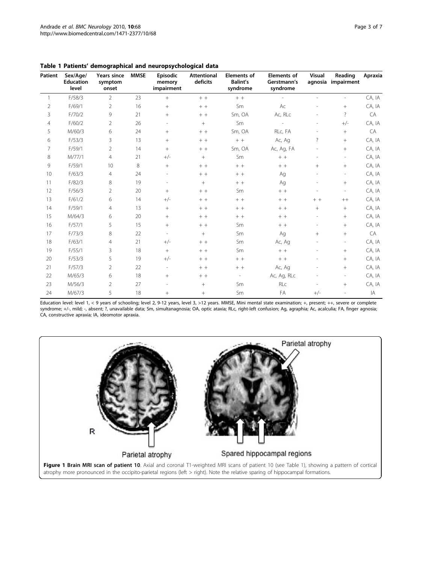| Patient        | Sex/Age/<br><b>Education</b><br>level | Years since<br>symptom<br>onset | <b>MMSE</b> | <b>Episodic</b><br>memory<br>impairment | <b>Attentional</b><br>deficits | <b>Elements of</b><br><b>Balint's</b><br>syndrome | <b>Elements of</b><br>Gerstmann's<br>syndrome | Visual                   | Reading<br>agnosia impairment | Apraxia |
|----------------|---------------------------------------|---------------------------------|-------------|-----------------------------------------|--------------------------------|---------------------------------------------------|-----------------------------------------------|--------------------------|-------------------------------|---------|
| $\mathbf{1}$   | F/58/3                                | $\overline{2}$                  | 23          | $^{+}$                                  | $+ +$                          | $+$ +                                             |                                               |                          |                               | CA, IA  |
| $\overline{2}$ | F/69/1                                | 2                               | 16          | $+$                                     | $+ +$                          | Sm                                                | Ac                                            |                          | $+$                           | CA, IA  |
| 3              | F/70/2                                | 9                               | 21          | $+$                                     | $+ +$                          | Sm, OA                                            | Ac, RLc                                       |                          | $\overline{?}$                | CA      |
| 4              | F/60/2                                | $\overline{2}$                  | 26          |                                         | $\pm$                          | Sm                                                |                                               |                          | $+/-$                         | CA, IA  |
| 5              | M/60/3                                | 6                               | 24          | $+$                                     | $+ +$                          | Sm, OA                                            | RLc, FA                                       | $\overline{\phantom{a}}$ | $^{+}$                        | CA      |
| 6              | F/53/3                                | 3                               | 13          | $+$                                     | $+ +$                          | $+ +$                                             | Ac, Ag                                        | ?                        | $^{+}$                        | CA, IA  |
| 7              | F/59/1                                | $\overline{2}$                  | 14          | $+$                                     | $+ +$                          | Sm, OA                                            | Ac, Ag, FA                                    |                          | $^{+}$                        | CA, IA  |
| 8              | M/77/1                                | $\overline{4}$                  | 21          | $+/-$                                   | $+$                            | Sm                                                | $+ +$                                         |                          | $\overline{\phantom{a}}$      | CA, IA  |
| 9              | F/59/1                                | 10                              | 8           | $^{+}$                                  | $+ +$                          | $+ +$                                             | $+ +$                                         | $^{+}$                   | $+$                           | CA, IA  |
| 10             | F/63/3                                | $\overline{4}$                  | 24          |                                         | $+ +$                          | $+ +$                                             | Ag                                            |                          | $\overline{\phantom{a}}$      | CA, IA  |
| 11             | F/82/3                                | 8                               | 19          |                                         | $+$                            | $+ +$                                             | Ag                                            |                          | $+$                           | CA, IA  |
| 12             | F/56/3                                | 2                               | 20          | $^{+}$                                  | $+ +$                          | Sm                                                | $+ +$                                         |                          | $\overline{\phantom{a}}$      | CA, IA  |
| 13             | F/61/2                                | 6                               | 14          | $+/-$                                   | $+ +$                          | $+ +$                                             | $+ +$                                         | $+ +$                    | $++$                          | CA, IA  |
| 14             | F/59/1                                | $\overline{4}$                  | 13          | $+$                                     | $+ +$                          | $+ +$                                             | $+$ +                                         | $^{+}$                   | $^{+}$                        | CA, IA  |
| 15             | M/64/3                                | 6                               | 20          | $+$                                     | $+ +$                          | $+ +$                                             | $+ +$                                         | $\overline{\phantom{a}}$ | $^{+}$                        | CA, IA  |
| 16             | F/57/1                                | 5                               | 15          | $+$                                     | $+ +$                          | Sm                                                | $+ +$                                         |                          | $+$                           | CA, IA  |
| 17             | F/73/3                                | 8                               | 22          |                                         | $+$                            | Sm                                                | Ag                                            | $^{+}$                   | $^{+}$                        | CA      |
| 18             | F/63/1                                | $\overline{4}$                  | 21          | $+/-$                                   | $+ +$                          | Sm                                                | Ac, Ag                                        |                          | $\overline{\phantom{a}}$      | CA, IA  |
| 19             | F/55/1                                | 3                               | 18          | $+$                                     | $+ +$                          | Sm                                                | $+ +$                                         |                          | $^{+}$                        | CA, IA  |
| 20             | F/53/3                                | 5                               | 19          | $+/-$                                   | $+ +$                          | $+ +$                                             | $+ +$                                         |                          | $+$                           | CA, IA  |
| 21             | F/57/3                                | 2                               | 22          |                                         | $+ +$                          | $+ +$                                             | Ac, Ag                                        |                          | $^{+}$                        | CA, IA  |
| 22             | M/65/3                                | 6                               | 18          | $+$                                     | $+ +$                          |                                                   | Ac, Ag, RLc                                   |                          | $\overline{\phantom{a}}$      | CA, IA  |
| 23             | M/56/3                                | 2                               | 27          |                                         | $+$                            | Sm                                                | RLc                                           |                          | $+$                           | CA, IA  |
| 24             | M/67/3                                | 5                               | 18          | $+$                                     | $+$                            | Sm                                                | FA                                            | $+/-$                    | ÷,                            | IA      |

<span id="page-2-0"></span>Table 1 Patients' demographical and neuropsychological data

Education level: level 1, < 9 years of schooling; level 2, 9-12 years, level 3, >12 years. MMSE, Mini mental state examination; +, present; ++, severe or complete syndrome; +/-, mild; -, absent; ?, unavailable data; Sm, simultanagnosia; OA, optic ataxia; RLc, right-left confusion; Ag, agraphia; Ac, acalculia; FA, finger agnosia; CA, constructive apraxia; IA, ideomotor apraxia.

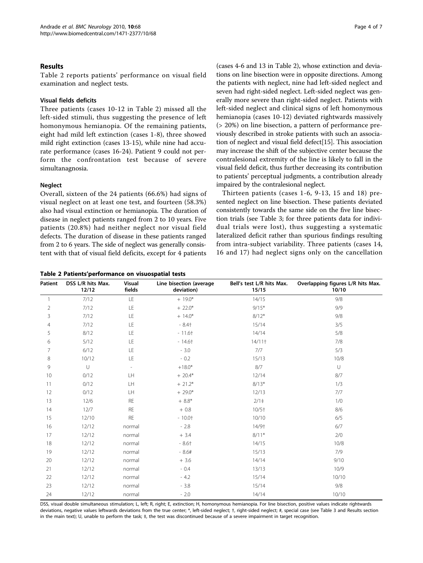#### <span id="page-3-0"></span>Results

Table 2 reports patients' performance on visual field examination and neglect tests.

#### Visual fields deficits

Three patients (cases 10-12 in Table 2) missed all the left-sided stimuli, thus suggesting the presence of left homonymous hemianopia. Of the remaining patients, eight had mild left extinction (cases 1-8), three showed mild right extinction (cases 13-15), while nine had accurate performance (cases 16-24). Patient 9 could not perform the confrontation test because of severe simultanagnosia.

#### Neglect

Overall, sixteen of the 24 patients (66.6%) had signs of visual neglect on at least one test, and fourteen (58.3%) also had visual extinction or hemianopia. The duration of disease in neglect patients ranged from 2 to 10 years. Five patients (20.8%) had neither neglect nor visual field defects. The duration of disease in these patients ranged from 2 to 6 years. The side of neglect was generally consistent with that of visual field deficits, except for 4 patients

|  |  | Table 2 Patients'performance on visuospatial tests |  |  |
|--|--|----------------------------------------------------|--|--|
|--|--|----------------------------------------------------|--|--|

(cases 4-6 and 13 in Table 2), whose extinction and deviations on line bisection were in opposite directions. Among the patients with neglect, nine had left-sided neglect and seven had right-sided neglect. Left-sided neglect was generally more severe than right-sided neglect. Patients with left-sided neglect and clinical signs of left homonymous hemianopia (cases 10-12) deviated rightwards massively (> 20%) on line bisection, a pattern of performance previously described in stroke patients with such an association of neglect and visual field defect[\[15\]](#page-5-0). This association may increase the shift of the subjective center because the contralesional extremity of the line is likely to fall in the visual field deficit, thus further decreasing its contribution to patients' perceptual judgments, a contribution already impaired by the contralesional neglect.

Thirteen patients (cases 1-6, 9-13, 15 and 18) presented neglect on line bisection. These patients deviated consistently towards the same side on the five line bisection trials (see Table [3](#page-4-0); for three patients data for individual trials were lost), thus suggesting a systematic lateralized deficit rather than spurious findings resulting from intra-subject variability. Three patients (cases 14, 16 and 17) had neglect signs only on the cancellation

| <b>Patient</b> | DSS L/R hits Max.<br>12/12 | <b>Visual</b><br>fields  | Line bisection (average<br>deviation) | Bell's test L/R hits Max.<br>15/15 | Overlapping figures L/R hits Max.<br>10/10 |
|----------------|----------------------------|--------------------------|---------------------------------------|------------------------------------|--------------------------------------------|
| $\mathbf{1}$   | 7/12                       | LE                       | $+ 19.0*$                             | 14/15                              | 9/8                                        |
| $\overline{c}$ | 7/12                       | LE                       | $+22.0*$                              | $9/15*$                            | 9/9                                        |
| 3              | 7/12                       | LE                       | $+ 14.0*$                             | $8/12*$                            | 9/8                                        |
| 4              | 7/12                       | LE                       | $-8.4+$                               | 15/14                              | 3/5                                        |
| 5              | 8/12                       | LE                       | $-11.6+$                              | 14/14                              | 5/8                                        |
| 6              | 5/12                       | LE                       | $-14.6+$                              | 14/11                              | 7/8                                        |
| 7              | 6/12                       | LE                       | $-3.0$                                | 7/7                                | 5/3                                        |
| 8              | 10/12                      | LE                       | $-0.2$                                | 15/13                              | 10/8                                       |
| 9              | U                          | $\overline{\phantom{a}}$ | $+18.0*$                              | 8/7                                | $\cup$                                     |
| 10             | 0/12                       | LH                       | $+20.4*$                              | 12/14                              | 8/7                                        |
| 11             | 0/12                       | LH                       | $+21.2*$                              | $8/13*$                            | 1/3                                        |
| 12             | 0/12                       | LH                       | $+29.0*$                              | 12/13                              | 7/7                                        |
| 13             | 12/6                       | <b>RE</b>                | $+8.8*$                               | $2/1$ ‡                            | 1/0                                        |
| 14             | 12/7                       | <b>RE</b>                | $+0.8$                                | $10/5$ <sup>+</sup>                | 8/6                                        |
| 15             | 12/10                      | <b>RE</b>                | $-10.01$                              | 10/10                              | 6/5                                        |
| 16             | 12/12                      | normal                   | $-2.8$                                | 14/9†                              | 6/7                                        |
| 17             | 12/12                      | normal                   | $+3.4$                                | $8/11*$                            | 2/0                                        |
| 18             | 12/12                      | normal                   | $-8.6+$                               | 14/15                              | 10/8                                       |
| 19             | 12/12                      | normal                   | $-8.6#$                               | 15/13                              | 7/9                                        |
| 20             | 12/12                      | normal                   | $+3.6$                                | 14/14                              | 9/10                                       |
| 21             | 12/12                      | normal                   | $-0.4$                                | 13/13                              | 10/9                                       |
| 22             | 12/12                      | normal                   | $-4.2$                                | 15/14                              | 10/10                                      |
| 23             | 12/12                      | normal                   | $-3.8$                                | 15/14                              | 9/8                                        |
| 24             | 12/12                      | normal                   | $-2.0$                                | 14/14                              | 10/10                                      |

DSS, visual double simultaneous stimulation; L, left; R, right; E, extinction; H, homonymous hemianopia. For line bisection, positive values indicate rightwards deviations, negative values leftwards deviations from the true center; \*, left-sided neglect; †, right-sided neglect; #, special case (see Table 3 and Results section in the main text); U, unable to perform the task;  $\pm$ , the test was discontinued because of a severe impairment in target recognition.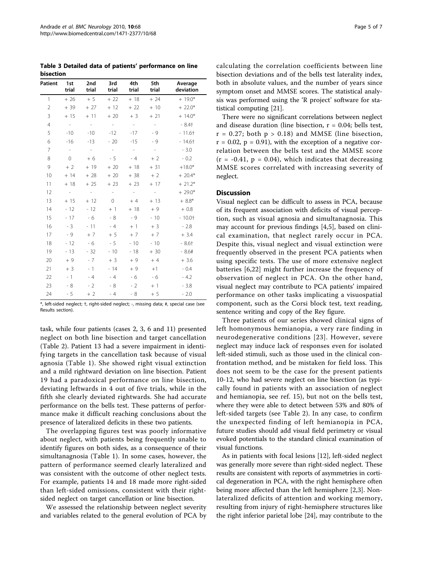<span id="page-4-0"></span>Table 3 Detailed data of patients' performance on line bisection

| <b>Patient</b> | 1st<br>trial | 2nd<br>trial | 3rd<br>trial | 4th<br>trial | 5th<br>trial   | Average<br>deviation |
|----------------|--------------|--------------|--------------|--------------|----------------|----------------------|
| $\mathbf{1}$   | $+26$        | $+5$         | $+22$        | $+18$        | $+24$          | $+19.0*$             |
| $\overline{2}$ | $+39$        | $+27$        | $+12$        | $+22$        | $+10$          | $+22.0*$             |
| 3              | $+15$        | $+11$        | $+20$        | $+3$         | $+21$          | $+ 14.0*$            |
| $\overline{4}$ | $\sim$       | $\sim$       | $\sim$       | $\sim$       | $\sim$         | $-8.4+$              |
| 5              | $-10$        | $-10$        | $-12$        | $-17$        | - 9            | $-11.6+$             |
| 6              | $-16$        | $-13$        | $-20$        | $-15$        | - 9            | $-14.6+$             |
| 7              | $\sim$       | $\sim$       | $\sim$ $-$   | $\sim$ $-$   | $\sim$         | $-3.0$               |
| 8              | $\Omega$     | $+6$         | - 5          | $-4$         | $+2$           | $-0.2$               |
| 9              | $+2$         | $+19$        | $+20$        | $+18$        | $+31$          | $+18.0*$             |
| 10             | $+ 14$       | $+28$        | $+20$        | $+38$        | $+2$           | $+20.4*$             |
| 11             | $+18$        | $+25$        | $+23$        | $+23$        | $+17$          | $+21.2*$             |
| 12             | $\sim$ $-$   | $\sim$ $-$   | $\sim$       | $\sim$ $-$   | $\sim$ $ \sim$ | $+29.0*$             |
| 13             | $+15$        | $+12$        | 0            | $+4$         | $+13$          | $+8.8*$              |
| 14             | $-12$        | $-12$        | $+1$         | $+18$        | $+9$           | $+0.8$               |
| 15             | $-17$        | - 6          | - 8          | - 9          | $-10$          | $-10.01$             |
| 16             | $-3$         | $-11$        | $-4$         | $+1$         | $+3$           | $-2.8$               |
| 17             | - 9          | $+7$         | $+5$         | $+7$         | $+7$           | $+3.4$               |
| 18             | $-12$        | - 6          | - 5          | $-10$        | $-10$          | $-8.6+$              |
| 19             | $-13$        | $-32$        | $-10$        | $-18$        | $+30$          | $-8.6#$              |
| 20             | $+9$         | $-7$         | $+3$         | $+9$         | $+4$           | $+3.6$               |
| 21             | $+3$         | $-1$         | $-14$        | $+9$         | $+1$           | $-0.4$               |
| 22             | $-1$         | $-4$         | $-4$         | - 6          | - 6            | $-4.2$               |
| 23             | - 8          | $-2$         | - 8          | $-2$         | $+1$           | $-3.8$               |
| 24             | - 5          | $+2$         | $-4$         | - 8          | $+5$           | $-2.0$               |

\*, left-sided neglect; †, right-sided neglect; -, missing data; #, special case (see Results section).

task, while four patients (cases 2, 3, 6 and 11) presented neglect on both line bisection and target cancellation (Table [2](#page-3-0)). Patient 13 had a severe impairment in identifying targets in the cancellation task because of visual agnosia (Table [1](#page-2-0)). She showed right visual extinction and a mild rightward deviation on line bisection. Patient 19 had a paradoxical performance on line bisection, deviating leftwards in 4 out of five trials, while in the fifth she clearly deviated rightwards. She had accurate performance on the bells test. These patterns of performance make it difficult reaching conclusions about the presence of lateralized deficits in these two patients.

The overlapping figures test was poorly informative about neglect, with patients being frequently unable to identify figures on both sides, as a consequence of their simultanagnosia (Table [1\)](#page-2-0). In some cases, however, the pattern of performance seemed clearly lateralized and was consistent with the outcome of other neglect tests. For example, patients 14 and 18 made more right-sided than left-sided omissions, consistent with their rightsided neglect on target cancellation or line bisection.

We assessed the relationship between neglect severity and variables related to the general evolution of PCA by calculating the correlation coefficients between line bisection deviations and of the bells test laterality index, both in absolute values, and the number of years since symptom onset and MMSE scores. The statistical analysis was performed using the 'R project' software for statistical computing [[21](#page-6-0)].

There were no significant correlations between neglect and disease duration (line bisection,  $r = 0.04$ ; bells test,  $r = 0.27$ ; both  $p > 0.18$ ) and MMSE (line bisection,  $r = 0.02$ ,  $p = 0.91$ , with the exception of a negative correlation between the bells test and the MMSE score  $(r = -0.41, p = 0.04)$ , which indicates that decreasing MMSE scores correlated with increasing severity of neglect.

#### **Discussion**

Visual neglect can be difficult to assess in PCA, because of its frequent association with deficits of visual perception, such as visual agnosia and simultanagnosia. This may account for previous findings [\[4,5](#page-5-0)], based on clinical examination, that neglect rarely occur in PCA. Despite this, visual neglect and visual extinction were frequently observed in the present PCA patients when using specific tests. The use of more extensive neglect batteries [\[6](#page-5-0),[22\]](#page-6-0) might further increase the frequency of observation of neglect in PCA. On the other hand, visual neglect may contribute to PCA patients' impaired performance on other tasks implicating a visuospatial component, such as the Corsi block test, text reading, sentence writing and copy of the Rey figure.

Three patients of our series showed clinical signs of left homonymous hemianopia, a very rare finding in neurodegenerative conditions [[23\]](#page-6-0). However, severe neglect may induce lack of responses even for isolated left-sided stimuli, such as those used in the clinical confrontation method, and be mistaken for field loss. This does not seem to be the case for the present patients 10-12, who had severe neglect on line bisection (as typically found in patients with an association of neglect and hemianopia, see ref. 15), but not on the bells test, where they were able to detect between 53% and 80% of left-sided targets (see Table [2\)](#page-3-0). In any case, to confirm the unexpected finding of left hemianopia in PCA, future studies should add visual field perimetry or visual evoked potentials to the standard clinical examination of visual functions.

As in patients with focal lesions [\[12\]](#page-5-0), left-sided neglect was generally more severe than right-sided neglect. These results are consistent with reports of asymmetries in cortical degeneration in PCA, with the right hemisphere often being more affected than the left hemisphere [[2](#page-5-0),[3\]](#page-5-0). Nonlateralized deficits of attention and working memory, resulting from injury of right-hemisphere structures like the right inferior parietal lobe [[24\]](#page-6-0), may contribute to the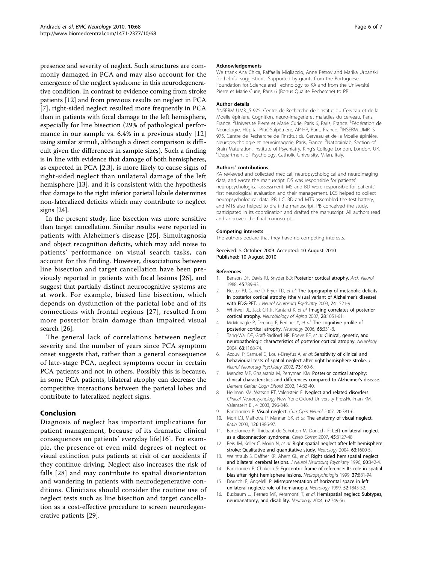<span id="page-5-0"></span>presence and severity of neglect. Such structures are commonly damaged in PCA and may also account for the emergence of the neglect syndrome in this neurodegenerative condition. In contrast to evidence coming from stroke patients [12] and from previous results on neglect in PCA [7], right-sided neglect resulted more frequently in PCA than in patients with focal damage to the left hemisphere, especially for line bisection (29% of pathological performance in our sample vs. 6.4% in a previous study [12] using similar stimuli, although a direct comparison is difficult given the differences in sample sizes). Such a finding is in line with evidence that damage of both hemispheres, as expected in PCA [2,3], is more likely to cause signs of right-sided neglect than unilateral damage of the left hemisphere [13], and it is consistent with the hypothesis that damage to the right inferior parietal lobule determines non-lateralized deficits which may contribute to neglect signs [\[24\]](#page-6-0).

In the present study, line bisection was more sensitive than target cancellation. Similar results were reported in patients with Alzheimer's disease [[25](#page-6-0)]. Simultagnosia and object recognition deficits, which may add noise to patients' performance on visual search tasks, can account for this finding. However, dissociations between line bisection and target cancellation have been previously reported in patients with focal lesions [\[26](#page-6-0)], and suggest that partially distinct neurocognitive systems are at work. For example, biased line bisection, which depends on dysfunction of the parietal lobe and of its connections with frontal regions [[27\]](#page-6-0), resulted from more posterior brain damage than impaired visual search [[26\]](#page-6-0).

The general lack of correlations between neglect severity and the number of years since PCA symptom onset suggests that, rather than a general consequence of late-stage PCA, neglect symptoms occur in certain PCA patients and not in others. Possibly this is because, in some PCA patients, bilateral atrophy can decrease the competitive interactions between the parietal lobes and contribute to lateralized neglect signs.

# Conclusion

Diagnosis of neglect has important implications for patient management, because of its dramatic clinical consequences on patients' everyday life[16]. For example, the presence of even mild degrees of neglect or visual extinction puts patients at risk of car accidents if they continue driving. Neglect also increases the risk of falls [[28](#page-6-0)] and may contribute to spatial disorientation and wandering in patients with neurodegenerative conditions. Clinicians should consider the routine use of neglect tests such as line bisection and target cancellation as a cost-effective procedure to screen neurodegenerative patients [\[29](#page-6-0)].

#### Acknowledgements

We thank Ana Chica, Raffaella Migliaccio, Anne Petrov and Marika Urbanski for helpful suggestions. Supported by grants from the Portuguese Foundation for Science and Technology to KA and from the Université Pierre et Marie Curie, Paris 6 (Bonus Qualité Recherche) to PB.

#### Author details

<sup>1</sup>INSERM UMR\_S 975, Centre de Recherche de l'Institut du Cerveau et de la Moelle épinière, Cognition, neuro-imagerie et maladies du cerveau, Paris, France. <sup>2</sup>Université Pierre et Marie Curie, Paris 6, Paris, France. <sup>3</sup>Fédération de Neurologie, Hôpital Pitié-Salpêtrière, AP-HP, Paris, France. <sup>4</sup>INSERM UMR\_S 975, Centre de Recherche de l'Institut du Cerveau et de la Moelle épinière, Neuropsychologie et neuroimagerie, Paris, France. <sup>5</sup>Natbrainlab, Section of Brain Maturation, Institute of Psychiatry, King's College London, London, UK. <sup>6</sup>Department of Psychology, Catholic University, Milan, Italy.

#### Authors' contributions

KA reviewed and collected medical, neuropsychological and neuroimaging data, and wrote the manuscript. DS was responsible for patients' neuropsychological assessment. MS and BD were responsible for patients' first neurological evaluation and their management. LCS helped to collect neuropsychological data. PB, LC, BD and MTS assembled the test battery, and MTS also helped to draft the manuscript. PB conceived the study, participated in its coordination and drafted the manuscript. All authors read and approved the final manuscript.

#### Competing interests

The authors declare that they have no competing interests.

Received: 5 October 2009 Accepted: 10 August 2010 Published: 10 August 2010

#### References

- 1. Benson DF, Davis RJ, Snyder BD: [Posterior cortical atrophy.](http://www.ncbi.nlm.nih.gov/pubmed/3390033?dopt=Abstract) Arch Neurol 1988, 45:789-93.
- 2. Nestor PJ, Caine D, Fryer TD, et al: [The topography of metabolic deficits](http://www.ncbi.nlm.nih.gov/pubmed/14617709?dopt=Abstract) [in posterior cortical atrophy \(the visual variant of Alzheimer](http://www.ncbi.nlm.nih.gov/pubmed/14617709?dopt=Abstract)'s disease) [with FDG-PET.](http://www.ncbi.nlm.nih.gov/pubmed/14617709?dopt=Abstract) J Neurol Neurosurg Psychiatry 2003, 74:1521-9.
- 3. Whitwell JL, Jack CR Jr, Kantarci K, et al: [Imaging correlates of posterior](http://www.ncbi.nlm.nih.gov/pubmed/16797786?dopt=Abstract) [cortical atrophy.](http://www.ncbi.nlm.nih.gov/pubmed/16797786?dopt=Abstract) Neurobiology of Aging 2007, 28:1051-61.
- 4. McMonagle P, Deering F, Berliner Y, et al: [The cognitive profile of](http://www.ncbi.nlm.nih.gov/pubmed/16476930?dopt=Abstract) [posterior cortical atrophy.](http://www.ncbi.nlm.nih.gov/pubmed/16476930?dopt=Abstract) Neurology 2006, 66:331-8.
- 5. Tang-Wai DF, Graff-Radford NR, Boeve BF, et al: [Clinical, genetic, and](http://www.ncbi.nlm.nih.gov/pubmed/15477533?dopt=Abstract) [neuropathologic characteristics of posterior cortical atrophy.](http://www.ncbi.nlm.nih.gov/pubmed/15477533?dopt=Abstract) Neurology 2004, 63:1168-74.
- 6. Azouvi P, Samuel C, Louis-Dreyfus A, et al: [Sensitivity of clinical and](http://www.ncbi.nlm.nih.gov/pubmed/12122175?dopt=Abstract) [behavioural tests of spatial neglect after right hemisphere stroke.](http://www.ncbi.nlm.nih.gov/pubmed/12122175?dopt=Abstract) J Neurol Neurosurg Psychiatry 2002, 73:160-6.
- 7. Mendez MF, Ghajarania M, Perryman KM: [Posterior cortical atrophy:](http://www.ncbi.nlm.nih.gov/pubmed/12053130?dopt=Abstract) [clinical characteristics and differences compared to Alzheimer](http://www.ncbi.nlm.nih.gov/pubmed/12053130?dopt=Abstract)'s disease. Dement Geriatr Cogn Disord 2002, 14:33-40.
- 8. Heilman KM, Watson RT, Valenstein E: Neglect and related disorders. Clinical Neuropsychology New York: Oxford University PressHeilman KM, Valenstein E , 4 2003, 296-346.
- 9. Bartolomeo P: [Visual neglect.](http://www.ncbi.nlm.nih.gov/pubmed/17620870?dopt=Abstract) Curr Opin Neurol 2007, 20:381-6.
- 10. Mort DJ, Malhotra P, Mannan SK, et al: [The anatomy of visual neglect.](http://www.ncbi.nlm.nih.gov/pubmed/12821519?dopt=Abstract) Brain 2003, 126:1986-97.
- 11. Bartolomeo P, Thiebaut de Schotten M, Doricchi F: Left unilateral neglect as a disconnection syndrome. Cereb Cortex 2007, 45:3127-48.
- 12. Beis JM, Keller C, Morin N, et al: [Right spatial neglect after left hemisphere](http://www.ncbi.nlm.nih.gov/pubmed/15534242?dopt=Abstract) [stroke: Qualitative and quantitative study.](http://www.ncbi.nlm.nih.gov/pubmed/15534242?dopt=Abstract) Neurology 2004, 63:1600-5.
- 13. Weintraub S, Daffner KR, Ahern GL, et al: [Right sided hemispatial neglect](http://www.ncbi.nlm.nih.gov/pubmed/8609518?dopt=Abstract) [and bilateral cerebral lesions.](http://www.ncbi.nlm.nih.gov/pubmed/8609518?dopt=Abstract) J Neurol Neurosurg Psychiatry 1996, 60:342-4.
- 14. Bartolomeo P, Chokron S: [Egocentric frame of reference: Its role in spatial](http://www.ncbi.nlm.nih.gov/pubmed/10426514?dopt=Abstract) [bias after right hemisphere lesions.](http://www.ncbi.nlm.nih.gov/pubmed/10426514?dopt=Abstract) Neuropsychologia 1999, 37:881-94.
- 15. Doricchi F, Angelelli P: [Misrepresentation of horizontal space in left](http://www.ncbi.nlm.nih.gov/pubmed/10371533?dopt=Abstract) [unilateral neglect: role of hemianopia.](http://www.ncbi.nlm.nih.gov/pubmed/10371533?dopt=Abstract) Neurology 1999, 52:1845-52
- 16. Buxbaum LJ, Ferraro MK, Veramonti T, et al: [Hemispatial neglect: Subtypes,](http://www.ncbi.nlm.nih.gov/pubmed/15007125?dopt=Abstract) [neuroanatomy, and disability.](http://www.ncbi.nlm.nih.gov/pubmed/15007125?dopt=Abstract) Neurology 2004, 62:749-56.